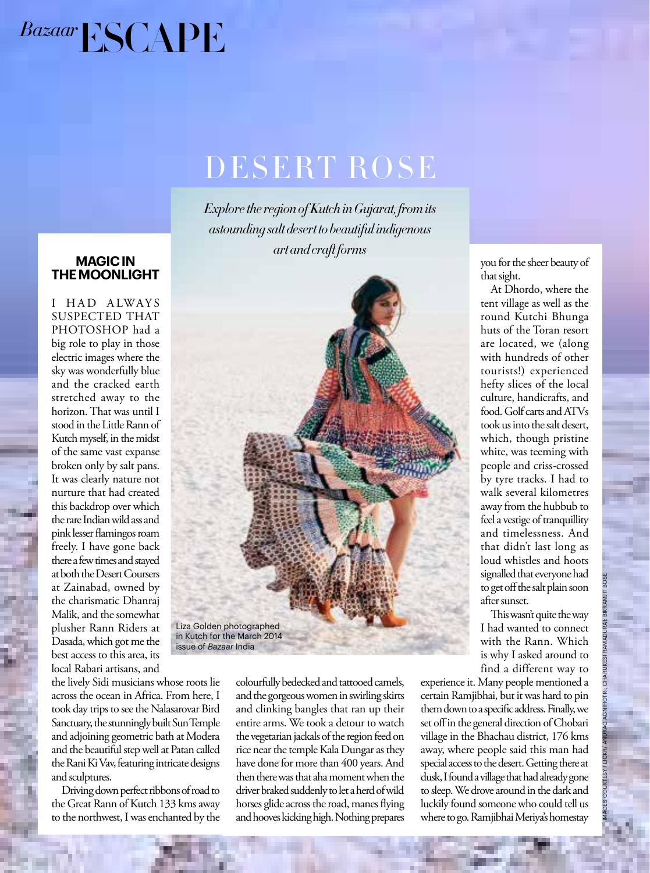

## DESERT ROSE

*Explore the region of Kutch in Gujarat, from its astounding salt desert to beautiful indigenous art and craft forms*

**MAGIC IN** 

 $\begin{array}{cccccccccccc}\nC & 1 & 1 & 1 & 0\n\end{array}$